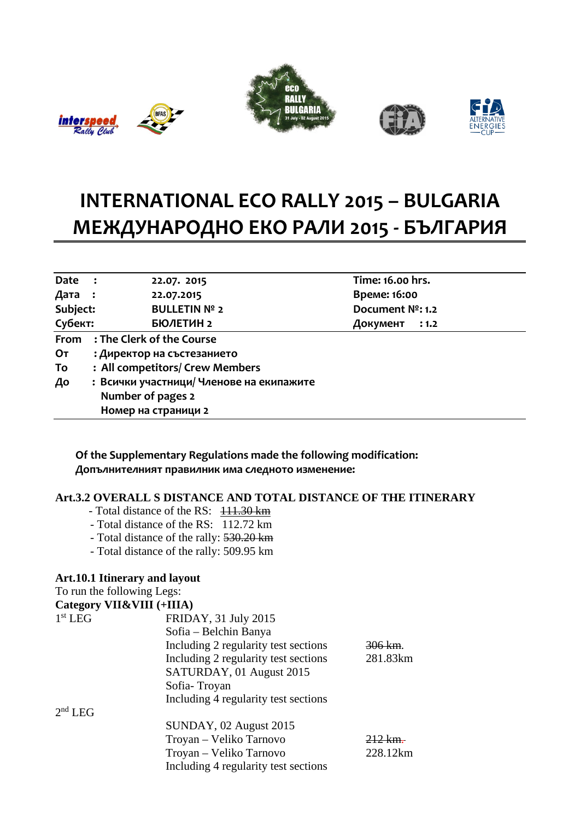









## **INTERNATIONAL ECO RALLY 2015 – BULGARIA МЕЖДУНАРОДНО ЕКО РАЛИ 2015 - БЪЛГАРИЯ**

| Date :   |                                          | 22.07. 2015          |  | Time: 16.00 hrs. |       |
|----------|------------------------------------------|----------------------|--|------------------|-------|
| Дата :   |                                          | 22.07.2015           |  | Време: 16:00     |       |
| Subject: |                                          | <b>BULLETIN Nº 2</b> |  | Document Nº: 1.2 |       |
| Субект:  |                                          | БЮЛЕТИН 2            |  | Документ         | : 1.2 |
| From     | : The Clerk of the Course                |                      |  |                  |       |
| От       | : Директор на състезанието               |                      |  |                  |       |
| To       | : All competitors/ Crew Members          |                      |  |                  |       |
| До       | : Всички участници/ Членове на екипажите |                      |  |                  |       |
|          |                                          | Number of pages 2    |  |                  |       |
|          |                                          | Номер на страници 2  |  |                  |       |

 **Of the Supplementary Regulations made the following modification: Допълнителният правилник има следното изменение:**

## **Art.3.2 OVERALL S DISTANCE AND TOTAL DISTANCE OF THE ITINERARY**

- Total distance of the RS:  $111.30 \text{ km}$
- Total distance of the RS: 112.72 km
- Total distance of the rally: 530.20 km
- Total distance of the rally: 509.95 km

## **Art.10.1 Itinerary and layout**

To run the following Legs:

|                                  | Category VII&VIII (+IIIA) |
|----------------------------------|---------------------------|
| $1$ et $\mathbf{r}$ $\mathbf{r}$ |                           |

| $1st$ LEG | FRIDAY, 31 July 2015                 |                      |
|-----------|--------------------------------------|----------------------|
|           | Sofia – Belchin Banya                |                      |
|           | Including 2 regularity test sections | $306 \, \mathrm{km}$ |
|           | Including 2 regularity test sections | 281.83km             |
|           | SATURDAY, 01 August 2015             |                      |
|           | Sofia-Troyan                         |                      |
|           | Including 4 regularity test sections |                      |
| $2nd$ LEG |                                      |                      |
|           | SUNDAY, 02 August 2015               |                      |
|           | Troyan – Veliko Tarnovo              | 212 km               |
|           | Troyan – Veliko Tarnovo              | 228.12km             |
|           | Including 4 regularity test sections |                      |